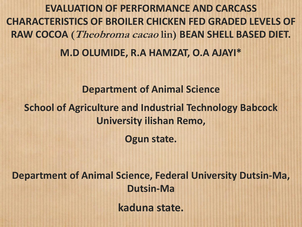**EVALUATION OF PERFORMANCE AND CARCASS CHARACTERISTICS OF BROILER CHICKEN FED GRADED LEVELS OF RAW COCOA (Theobroma cacao lin) BEAN SHELL BASED DIET. M.D OLUMIDE, R.A HAMZAT, O.A AJAYI\*** 

#### **Department of Animal Science**

#### **School of Agriculture and Industrial Technology Babcock University ilishan Remo,**

**Ogun state.**

**Department of Animal Science, Federal University Dutsin-Ma, Dutsin-Ma** 

**kaduna state.**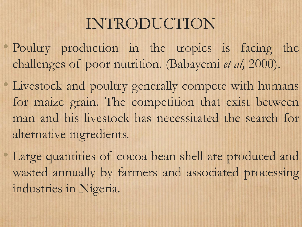# INTRODUCTION

- Poultry production in the tropics is facing the challenges of poor nutrition. (Babayemi *et al,* 2000).
- Livestock and poultry generally compete with humans for maize grain. The competition that exist between man and his livestock has necessitated the search for alternative ingredients.
- Large quantities of cocoa bean shell are produced and wasted annually by farmers and associated processing industries in Nigeria.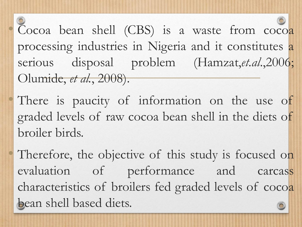• Cocoa bean shell (CBS) is a waste from cocoa processing industries in Nigeria and it constitutes a serious disposal problem (Hamzat,*et.al*.,2006; Olumide, *et al.*, 2008).

There is paucity of information on the use of graded levels of raw cocoa bean shell in the diets of broiler birds.

Therefore, the objective of this study is focused on evaluation of performance and carcass characteristics of broilers fed graded levels of cocoa bean shell based diets.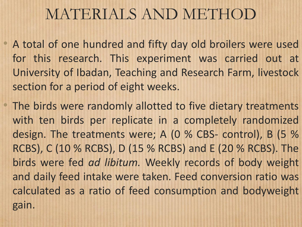# MATERIALS AND METHOD

- A total of one hundred and fifty day old broilers were used for this research. This experiment was carried out at University of Ibadan, Teaching and Research Farm, livestock section for a period of eight weeks.
	- The birds were randomly allotted to five dietary treatments with ten birds per replicate in a completely randomized design. The treatments were; A (0 % CBS- control), B (5 % RCBS), C (10 % RCBS), D (15 % RCBS) and E (20 % RCBS). The birds were fed *ad libitum.* Weekly records of body weight and daily feed intake were taken. Feed conversion ratio was calculated as a ratio of feed consumption and bodyweight gain.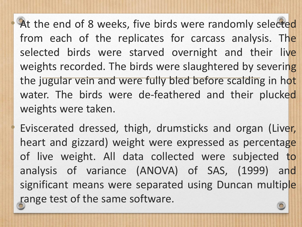At the end of 8 weeks, five birds were randomly selected from each of the replicates for carcass analysis. The selected birds were starved overnight and their live weights recorded. The birds were slaughtered by severing the jugular vein and were fully bled before scalding in hot water. The birds were de-feathered and their plucked weights were taken.

Eviscerated dressed, thigh, drumsticks and organ (Liver, heart and gizzard) weight were expressed as percentage of live weight. All data collected were subjected to analysis of variance (ANOVA) of SAS, (1999) and significant means were separated using Duncan multiple range test of the same software.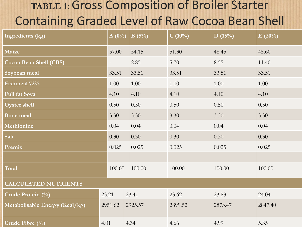### **TABLE 1**: Gross Composition of Broiler Starter Containing Graded Level of Raw Cocoa Bean Shell

| Ingredients (kg)               | $A(0\%)$                 | $\mathbf{B}(5\%)$ | $C(10\%)$ | D(15%)  | E(20%)  |  |  |  |
|--------------------------------|--------------------------|-------------------|-----------|---------|---------|--|--|--|
| Maize                          | 57.00                    | 54.15             | 51.30     | 48.45   | 45.60   |  |  |  |
| Cocoa Bean Shell (CBS)         | $\overline{\phantom{a}}$ | 2.85              | 5.70      | 8.55    | 11.40   |  |  |  |
| Soybean meal                   | 33.51                    | 33.51             | 33.51     | 33.51   | 33.51   |  |  |  |
| Fishmeal 72%                   | 1.00                     | 1.00              | 1.00      | 1.00    | 1.00    |  |  |  |
| Full fat Soya                  | 4.10                     | 4.10              | 4.10      | 4.10    | 4.10    |  |  |  |
| Oyster shell                   |                          | 0.50              | 0.50      | 0.50    | 0.50    |  |  |  |
| <b>Bone</b> meal               |                          | 3.30              | 3.30      | 3.30    | 3.30    |  |  |  |
| Methionine                     |                          | 0.04              | 0.04      | 0.04    | 0.04    |  |  |  |
| Salt                           |                          | 0.30              | 0.30      | 0.30    | 0.30    |  |  |  |
| Premix                         |                          | 0.025             | 0.025     | 0.025   | 0.025   |  |  |  |
|                                |                          |                   |           |         |         |  |  |  |
| Total                          |                          | 100.00<br>100.00  | 100.00    | 100.00  | 100.00  |  |  |  |
| <b>CALCULATED NUTRIENTS</b>    |                          |                   |           |         |         |  |  |  |
| Crude Protein (%)              | 23.21                    | 23.41             | 23.62     | 23.83   | 24.04   |  |  |  |
| Metabolisable Energy (Kcal/kg) | 2951.62                  | 2925.57           | 2899.52   | 2873.47 | 2847.40 |  |  |  |
| Crude Fibre (%)                | 4.01                     | 4.34              | 4.66      | 4.99    | 5.35    |  |  |  |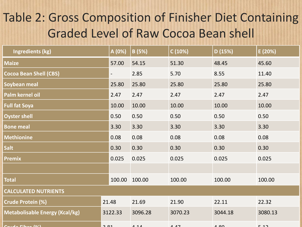## Table 2: Gross Composition of Finisher Diet Containing Graded Level of Raw Cocoa Bean shell

| <b>Ingredients (kg)</b>               | A (0%)                   | B(5%)   | C(10%)  | D(15%)  | E (20%) |  |  |
|---------------------------------------|--------------------------|---------|---------|---------|---------|--|--|
| <b>Maize</b>                          | 57.00                    | 54.15   | 51.30   | 48.45   | 45.60   |  |  |
| <b>Cocoa Bean Shell (CBS)</b>         | $\overline{\phantom{0}}$ | 2.85    | 5.70    | 8.55    | 11.40   |  |  |
| Soybean meal                          | 25.80                    | 25.80   | 25.80   | 25.80   | 25.80   |  |  |
| Palm kernel oil                       | 2.47                     | 2.47    | 2.47    | 2.47    | 2.47    |  |  |
| <b>Full fat Soya</b>                  | 10.00                    | 10.00   | 10.00   | 10.00   | 10.00   |  |  |
| <b>Oyster shell</b>                   | 0.50                     | 0.50    | 0.50    | 0.50    | 0.50    |  |  |
| <b>Bone meal</b>                      | 3.30                     | 3.30    | 3.30    | 3.30    | 3.30    |  |  |
| <b>Methionine</b>                     | 0.08                     | 0.08    | 0.08    | 0.08    | 0.08    |  |  |
| <b>Salt</b>                           | 0.30                     | 0.30    | 0.30    | 0.30    | 0.30    |  |  |
| <b>Premix</b>                         | 0.025                    | 0.025   | 0.025   | 0.025   | 0.025   |  |  |
|                                       |                          |         |         |         |         |  |  |
| <b>Total</b>                          | 100.00                   | 100.00  | 100.00  | 100.00  | 100.00  |  |  |
| <b>CALCULATED NUTRIENTS</b>           |                          |         |         |         |         |  |  |
| <b>Crude Protein (%)</b>              | 21.48                    | 21.69   | 21.90   | 22.11   | 22.32   |  |  |
| <b>Metabolisable Energy (Kcal/kg)</b> | 3122.33                  | 3096.28 | 3070.23 | 3044.18 | 3080.13 |  |  |
| $A \sim \Gamma$ ihan $(0/1)$          | 2.01                     | 111     | 1.17    | مم م    | 0.12    |  |  |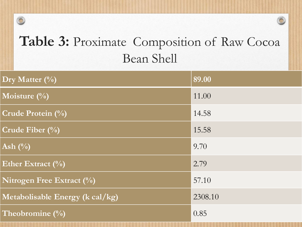## **Table 3:** Proximate Composition of Raw Cocoa Bean Shell

 $\circledcirc$ 

| Dry Matter $(\%)$                   | 89.00   |
|-------------------------------------|---------|
| Moisture $\left(\frac{0}{0}\right)$ | 11.00   |
| Crude Protein (%)                   | 14.58   |
| Crude Fiber $(\%)$                  | 15.58   |
| Ash $(\%)$                          | 9.70    |
| Ether Extract $(\%)$                | 2.79    |
| Nitrogen Free Extract $(\%)$        | 57.10   |
| Metabolisable Energy (k cal/kg)     | 2308.10 |
| Theobromine (%)                     | 0.85    |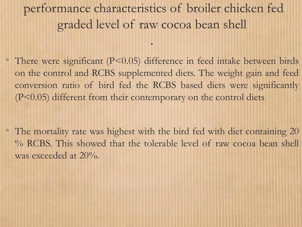## performance characteristics of broiler chicken fed graded level of raw cocoa bean shell

.

There were significant  $(P<0.05)$  difference in feed intake between birds on the control and RCBS supplemented diets. The weight gain and feed conversion ratio of bird fed the RCBS based diets were significantly (P<0.05) different from their contemporary on the control diets

The mortality rate was highest with the bird fed with diet containing 20 % RCBS. This showed that the tolerable level of raw cocoa bean shell was exceeded at 20%.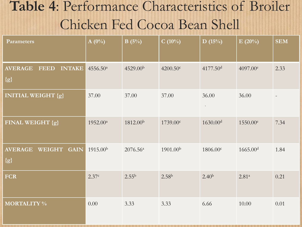## **Table 4**: Performance Characteristics of Broiler Chicken Fed Cocoa Bean Shell

| <b>Parameters</b>                                       | $A(0\%)$             | B(5%)                  | $C(10\%)$            | D(15%)                 | E(20%)               | <b>SEM</b> |
|---------------------------------------------------------|----------------------|------------------------|----------------------|------------------------|----------------------|------------|
| <b>AVERAGE</b><br><b>INTAKE</b><br><b>FEED</b><br>${g}$ | 4556.50 <sup>a</sup> | 4529.00 <sup>b</sup>   | $4200.50$ c          | 4177.50 <sup>d</sup>   | $4097.00^e$          | 2.33       |
| <b>INITIAL WEIGHT {g}</b>                               | 37.00                | 37.00                  | 37.00                | 36.00<br>$\sim 10$     | 36.00                |            |
| FINAL WEIGHT {g}                                        | $1952.00^a$          | 1812.00 <sup>b</sup>   | 1739.00 <sup>c</sup> | $1630.00$ <sup>d</sup> | 1550.00 <sup>e</sup> | 7.34       |
| <b>AVERAGE</b><br><b>WEIGHT</b><br><b>GAIN</b><br>${g}$ | 1915.00 <sup>b</sup> | $2076.56^{\mathrm{a}}$ | 1901.00 <sup>b</sup> | 1806.00c               | 1665.00 <sup>d</sup> | 1.84       |
| <b>FCR</b>                                              | 2.37c                | 2.55 <sup>b</sup>      | 2.58 <sup>b</sup>    | 2.40 <sup>b</sup>      | $2.81^{a}$           | 0.21       |
| <b>MORTALITY %</b>                                      | 0.00                 | 3.33                   | 3.33                 | 6.66                   | 10.00                | 0.01       |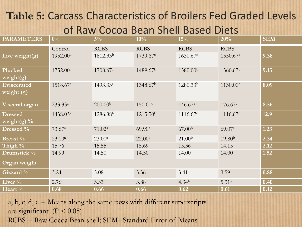### **Table 5:** Carcass Characteristics of Broilers Fed Graded Levels of Raw Cocoa Bean Shell Based Diets

| <b>PARAMETERS</b>                | $0\%$                | $5\%$                | 10%                  | 15%                  | 20%                  | <b>SEM</b>         |
|----------------------------------|----------------------|----------------------|----------------------|----------------------|----------------------|--------------------|
|                                  | Control              | <b>RCBS</b>          | <b>RCBS</b>          | <b>RCBS</b>          | <b>RCBS</b>          |                    |
| Live weight $(g)$                | 1952.00 <sup>a</sup> | 1812.33 <sup>b</sup> | 1739.67c             | 1630.67 <sup>d</sup> | 1550.67 <sup>e</sup> | 9.38               |
| Plucked<br>weight(g)             | 1752.00 <sup>a</sup> | 1708.67 <sup>a</sup> | 1489.67 <sup>b</sup> | 1380.00 <sup>b</sup> | 1360.67c             | 9.15               |
| Eviscerated<br>weight $(g)$      | 1518.67 <sup>a</sup> | 1493.33a             | 1348.67 <sup>b</sup> | 1280.33 <sup>b</sup> | 1130.00c             | 8.09               |
| Visceral organ                   | 233.33 <sup>a</sup>  | 200.00 <sup>b</sup>  | 150.00 <sup>d</sup>  | 146.67e              | 176.67c              | 8.56               |
| <b>Dressed</b><br>weight(g) $\%$ | 1438.03 <sup>a</sup> | 1286.88 <sup>b</sup> | 1215.50 <sup>b</sup> | 1116.67c             | 1116.67c             | 12.9               |
| Dressed $\%$                     | 73.67 <sup>a</sup>   | 71.02 <sup>a</sup>   | 69.90 <sup>a</sup>   | 67.00 <sup>b</sup>   | 69.07a               | 1.23               |
| <b>Breast</b> %                  | $23.00^a$            | $23.00^a$            | $22.00^a$            | 21.00 <sup>b</sup>   | 19.80 <sup>b</sup>   | 2.34               |
| Thigh %                          | 15.76                | 15.55                | 15.69                | 15.36                | 14.15                | 2.12               |
| Drumstick %                      | 14.99                | 14.50                | 14.50                | 14.00                | 14.00                | 1.52               |
| Organ weight                     |                      |                      |                      |                      |                      |                    |
| Gizzard %                        | $3.24$               | 3.08                 | 3.36                 | 3.41                 | 3.59                 | 0.88               |
| Liver $\%$                       | 2.76 <sup>d</sup>    | 3.33c                | 3.88c                | 4.34 <sup>b</sup>    | $5.31^{a}$           | $\vert 0.40 \vert$ |
| Heart %                          | 0.68                 | 0.66                 | 0.66                 | 0.62                 | 0.61                 | 0.12               |

a, b, c, d, e = Means along the same rows with different superscripts are significant  $(P < 0.05)$ RCBS = Raw Cocoa Bean shell; SEM=Standard Error of Means.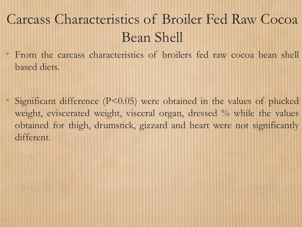## Carcass Characteristics of Broiler Fed Raw Cocoa Bean Shell

• From the carcass characteristics of broilers fed raw cocoa bean shell based diets.

Significant difference  $(P<0.05)$  were obtained in the values of plucked weight, eviscerated weight, visceral organ, dressed % while the values obtained for thigh, drumstick, gizzard and heart were not significantly different.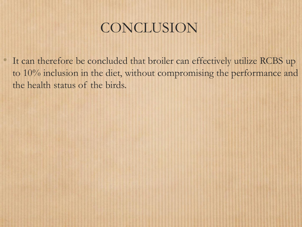## CONCLUSION

It can therefore be concluded that broiler can effectively utilize RCBS up to 10% inclusion in the diet, without compromising the performance and the health status of the birds.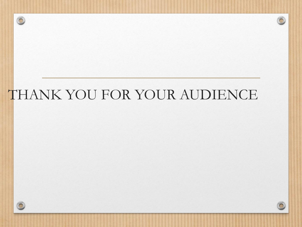## THANK YOU FOR YOUR AUDIENCE



 $\circledcirc$